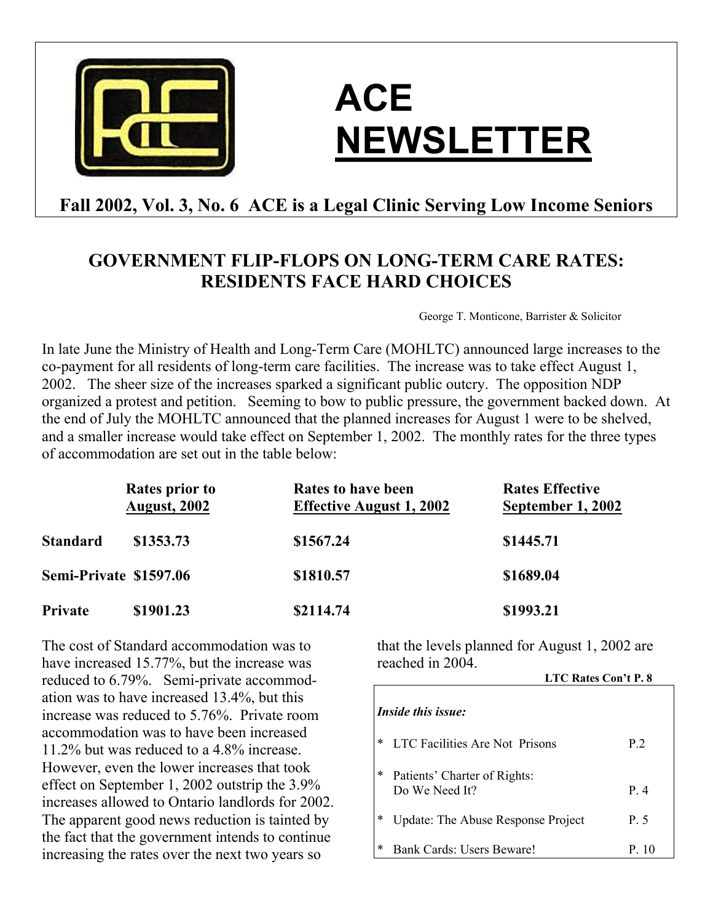

# **ACE NEWSLETTER**

# **Fall 2002, Vol. 3, No. 6 ACE is a Legal Clinic Serving Low Income Seniors**

# **GOVERNMENT FLIP-FLOPS ON LONG-TERM CARE RATES: RESIDENTS FACE HARD CHOICES**

George T. Monticone, Barrister & Solicitor

In late June the Ministry of Health and Long-Term Care (MOHLTC) announced large increases to the co-payment for all residents of long-term care facilities. The increase was to take effect August 1, 2002. The sheer size of the increases sparked a significant public outcry. The opposition NDP organized a protest and petition. Seeming to bow to public pressure, the government backed down. At the end of July the MOHLTC announced that the planned increases for August 1 were to be shelved, and a smaller increase would take effect on September 1, 2002. The monthly rates for the three types of accommodation are set out in the table below:

|                        | <b>Rates prior to</b><br><b>August, 2002</b> | <b>Rates to have been</b><br><b>Effective August 1, 2002</b> | <b>Rates Effective</b><br>September 1, 2002 |
|------------------------|----------------------------------------------|--------------------------------------------------------------|---------------------------------------------|
| Standard               | \$1353.73                                    | \$1567.24                                                    | \$1445.71                                   |
| Semi-Private \$1597.06 |                                              | \$1810.57                                                    | \$1689.04                                   |
| Private                | \$1901.23                                    | \$2114.74                                                    | \$1993.21                                   |

The cost of Standard accommodation was to have increased 15.77%, but the increase was reduced to 6.79%. Semi-private accommodation was to have increased 13.4%, but this increase was reduced to 5.76%. Private room accommodation was to have been increased 11.2% but was reduced to a 4.8% increase. However, even the lower increases that took effect on September 1, 2002 outstrip the 3.9% increases allowed to Ontario landlords for 2002. The apparent good news reduction is tainted by the fact that the government intends to continue increasing the rates over the next two years so

that the levels planned for August 1, 2002 are reached in 2004. **LTC Rates Con't P. 8**

|                           |                                                | <b>LIC Rates Con't P. 8</b> |  |  |
|---------------------------|------------------------------------------------|-----------------------------|--|--|
| <i>Inside this issue:</i> |                                                |                             |  |  |
| ∗                         | LTC Facilities Are Not Prisons                 | P 2                         |  |  |
| $\ast$                    | Patients' Charter of Rights:<br>Do We Need It? | P.4                         |  |  |
| *                         | <b>Update: The Abuse Response Project</b>      | P. 5                        |  |  |
| ∗                         | Bank Cards: Users Beware!                      | P 10                        |  |  |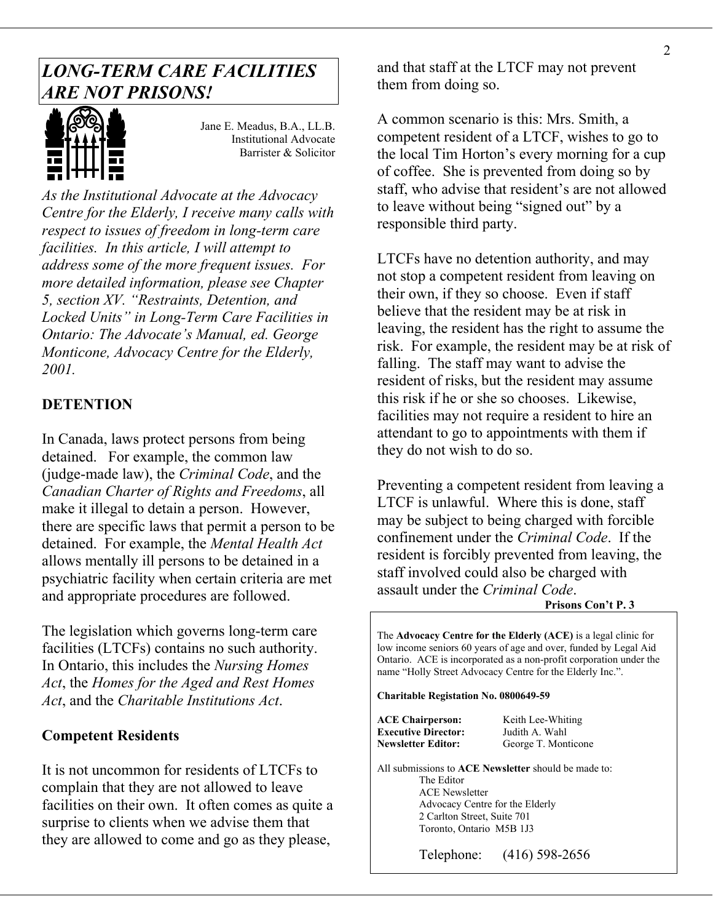# *LONG-TERM CARE FACILITIES ARE NOT PRISONS!*



Jane E. Meadus, B.A., LL.B. Institutional Advocate Barrister & Solicitor

*As the Institutional Advocate at the Advocacy Centre for the Elderly, I receive many calls with respect to issues of freedom in long-term care facilities. In this article, I will attempt to address some of the more frequent issues. For more detailed information, please see Chapter 5, section XV. "Restraints, Detention, and Locked Units" in Long-Term Care Facilities in Ontario: The Advocate's Manual, ed. George Monticone, Advocacy Centre for the Elderly, 2001.* 

### **DETENTION**

In Canada, laws protect persons from being detained. For example, the common law (judge-made law), the *Criminal Code*, and the *Canadian Charter of Rights and Freedoms*, all make it illegal to detain a person. However, there are specific laws that permit a person to be detained. For example, the *Mental Health Act* allows mentally ill persons to be detained in a psychiatric facility when certain criteria are met and appropriate procedures are followed.

The legislation which governs long-term care facilities (LTCFs) contains no such authority. In Ontario, this includes the *Nursing Homes Act*, the *Homes for the Aged and Rest Homes Act*, and the *Charitable Institutions Act*.

### **Competent Residents**

It is not uncommon for residents of LTCFs to complain that they are not allowed to leave facilities on their own. It often comes as quite a surprise to clients when we advise them that they are allowed to come and go as they please,

and that staff at the LTCF may not prevent them from doing so.

A common scenario is this: Mrs. Smith, a competent resident of a LTCF, wishes to go to the local Tim Horton's every morning for a cup of coffee. She is prevented from doing so by staff, who advise that resident's are not allowed to leave without being "signed out" by a responsible third party.

LTCFs have no detention authority, and may not stop a competent resident from leaving on their own, if they so choose. Even if staff believe that the resident may be at risk in leaving, the resident has the right to assume the risk. For example, the resident may be at risk of falling. The staff may want to advise the resident of risks, but the resident may assume this risk if he or she so chooses. Likewise, facilities may not require a resident to hire an attendant to go to appointments with them if they do not wish to do so.

Preventing a competent resident from leaving a LTCF is unlawful. Where this is done, staff may be subject to being charged with forcible confinement under the *Criminal Code*. If the resident is forcibly prevented from leaving, the staff involved could also be charged with assault under the *Criminal Code*.

### **Prisons Con't P. 3**

The **Advocacy Centre for the Elderly (ACE)** is a legal clinic for low income seniors 60 years of age and over, funded by Legal Aid Ontario. ACE is incorporated as a non-profit corporation under the name "Holly Street Advocacy Centre for the Elderly Inc.".

**Charitable Registation No. 0800649-59** 

| <b>ACE Chairperson:</b>    | Keith Lee-Whiting   |
|----------------------------|---------------------|
| <b>Executive Director:</b> | Judith A. Wahl      |
| Newsletter Editor:         | George T. Monticone |

All submissions to **ACE Newsletter** should be made to: The Editor ACE Newsletter Advocacy Centre for the Elderly 2 Carlton Street, Suite 701 Toronto, Ontario M5B 1J3

Telephone: (416) 598-2656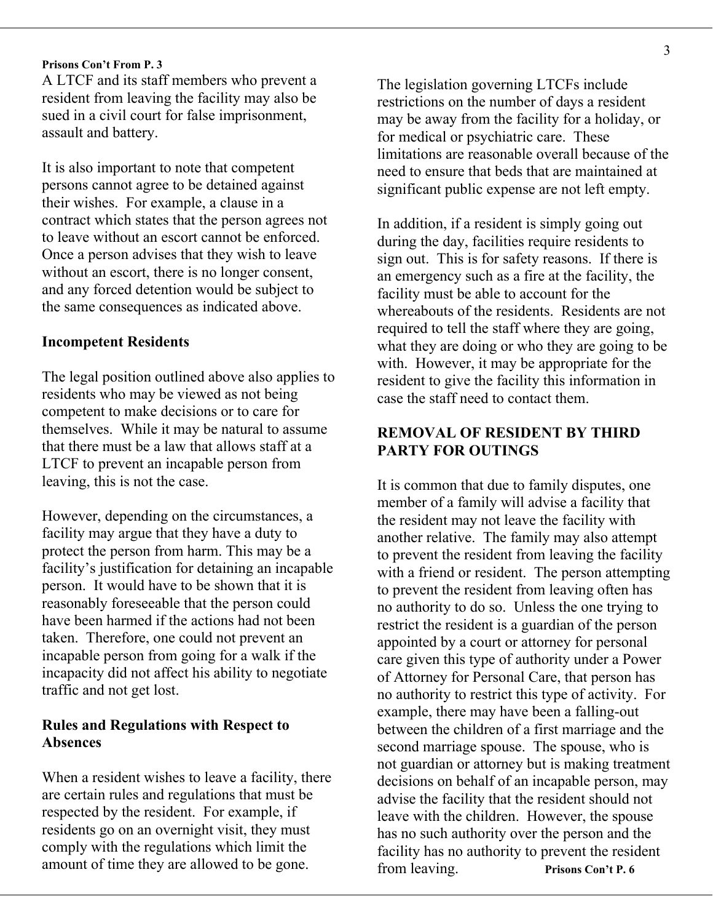### **Prisons Con't From P. 3**

A LTCF and its staff members who prevent a resident from leaving the facility may also be sued in a civil court for false imprisonment, assault and battery.

It is also important to note that competent persons cannot agree to be detained against their wishes. For example, a clause in a contract which states that the person agrees not to leave without an escort cannot be enforced. Once a person advises that they wish to leave without an escort, there is no longer consent, and any forced detention would be subject to the same consequences as indicated above.

### **Incompetent Residents**

The legal position outlined above also applies to residents who may be viewed as not being competent to make decisions or to care for themselves. While it may be natural to assume that there must be a law that allows staff at a LTCF to prevent an incapable person from leaving, this is not the case.

However, depending on the circumstances, a facility may argue that they have a duty to protect the person from harm. This may be a facility's justification for detaining an incapable person. It would have to be shown that it is reasonably foreseeable that the person could have been harmed if the actions had not been taken. Therefore, one could not prevent an incapable person from going for a walk if the incapacity did not affect his ability to negotiate traffic and not get lost.

### **Rules and Regulations with Respect to Absences**

When a resident wishes to leave a facility, there are certain rules and regulations that must be respected by the resident. For example, if residents go on an overnight visit, they must comply with the regulations which limit the amount of time they are allowed to be gone.

The legislation governing LTCFs include restrictions on the number of days a resident may be away from the facility for a holiday, or for medical or psychiatric care. These limitations are reasonable overall because of the need to ensure that beds that are maintained at significant public expense are not left empty.

In addition, if a resident is simply going out during the day, facilities require residents to sign out. This is for safety reasons. If there is an emergency such as a fire at the facility, the facility must be able to account for the whereabouts of the residents. Residents are not required to tell the staff where they are going, what they are doing or who they are going to be with. However, it may be appropriate for the resident to give the facility this information in case the staff need to contact them.

### **REMOVAL OF RESIDENT BY THIRD PARTY FOR OUTINGS**

It is common that due to family disputes, one member of a family will advise a facility that the resident may not leave the facility with another relative. The family may also attempt to prevent the resident from leaving the facility with a friend or resident. The person attempting to prevent the resident from leaving often has no authority to do so. Unless the one trying to restrict the resident is a guardian of the person appointed by a court or attorney for personal care given this type of authority under a Power of Attorney for Personal Care, that person has no authority to restrict this type of activity. For example, there may have been a falling-out between the children of a first marriage and the second marriage spouse. The spouse, who is not guardian or attorney but is making treatment decisions on behalf of an incapable person, may advise the facility that the resident should not leave with the children. However, the spouse has no such authority over the person and the facility has no authority to prevent the resident from leaving. **Prisons Con't P. 6**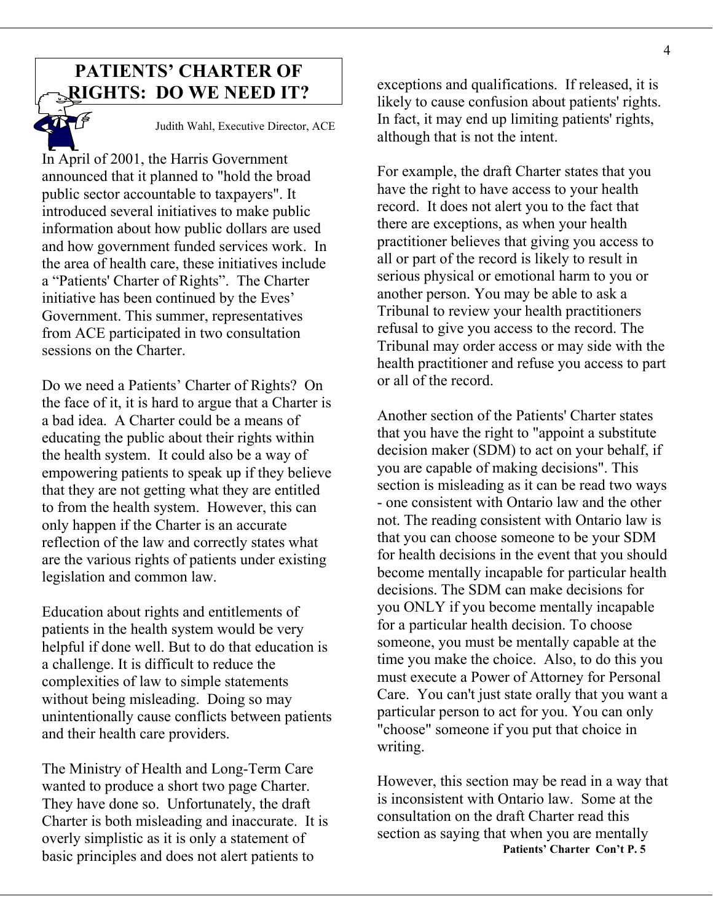# **PATIENTS' CHARTER OF**



Judith Wahl, Executive Director, ACE

In April of 2001, the Harris Government announced that it planned to "hold the broad public sector accountable to taxpayers". It introduced several initiatives to make public information about how public dollars are used and how government funded services work. In the area of health care, these initiatives include a "Patients' Charter of Rights". The Charter initiative has been continued by the Eves' Government. This summer, representatives from ACE participated in two consultation sessions on the Charter.

Do we need a Patients' Charter of Rights? On or all of the record. the face of it, it is hard to argue that a Charter is a bad idea. A Charter could be a means of educating the public about their rights within the health system. It could also be a way of empowering patients to speak up if they believe that they are not getting what they are entitled to from the health system. However, this can only happen if the Charter is an accurate reflection of the law and correctly states what are the various rights of patients under existing legislation and common law.

Education about rights and entitlements of patients in the health system would be very helpful if done well. But to do that education is a challenge. It is difficult to reduce the complexities of law to simple statements without being misleading. Doing so may unintentionally cause conflicts between patients and their health care providers.

The Ministry of Health and Long-Term Care wanted to produce a short two page Charter. They have done so. Unfortunately, the draft Charter is both misleading and inaccurate. It is overly simplistic as it is only a statement of basic principles and does not alert patients to

**RIGHTS: DO WE NEED IT?** exceptions and qualifications. If released, it is likely to cause confusion about patients' rights. In fact, it may end up limiting patients' rights, although that is not the intent.

> For example, the draft Charter states that you have the right to have access to your health record. It does not alert you to the fact that there are exceptions, as when your health practitioner believes that giving you access to all or part of the record is likely to result in serious physical or emotional harm to you or another person. You may be able to ask a Tribunal to review your health practitioners refusal to give you access to the record. The Tribunal may order access or may side with the health practitioner and refuse you access to part

> Another section of the Patients' Charter states that you have the right to "appoint a substitute decision maker (SDM) to act on your behalf, if you are capable of making decisions". This section is misleading as it can be read two ways - one consistent with Ontario law and the other not. The reading consistent with Ontario law is that you can choose someone to be your SDM for health decisions in the event that you should become mentally incapable for particular health decisions. The SDM can make decisions for you ONLY if you become mentally incapable for a particular health decision. To choose someone, you must be mentally capable at the time you make the choice. Also, to do this you must execute a Power of Attorney for Personal Care. You can't just state orally that you want a particular person to act for you. You can only "choose" someone if you put that choice in writing.

> However, this section may be read in a way that is inconsistent with Ontario law. Some at the consultation on the draft Charter read this section as saying that when you are mentally **Patients' Charter Con't P. 5**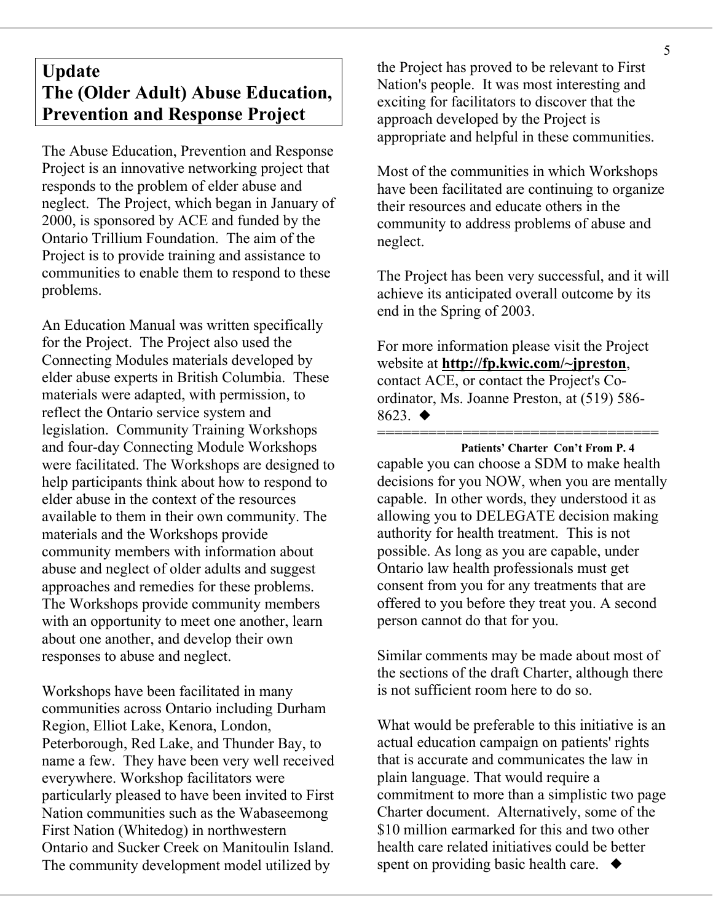# **Update The (Older Adult) Abuse Education, Prevention and Response Project**

The Abuse Education, Prevention and Response Project is an innovative networking project that responds to the problem of elder abuse and neglect. The Project, which began in January of 2000, is sponsored by ACE and funded by the Ontario Trillium Foundation. The aim of the Project is to provide training and assistance to communities to enable them to respond to these problems.

An Education Manual was written specifically for the Project. The Project also used the Connecting Modules materials developed by elder abuse experts in British Columbia. These materials were adapted, with permission, to reflect the Ontario service system and legislation. Community Training Workshops and four-day Connecting Module Workshops were facilitated. The Workshops are designed to help participants think about how to respond to elder abuse in the context of the resources available to them in their own community. The materials and the Workshops provide community members with information about abuse and neglect of older adults and suggest approaches and remedies for these problems. The Workshops provide community members with an opportunity to meet one another, learn about one another, and develop their own responses to abuse and neglect.

Workshops have been facilitated in many communities across Ontario including Durham Region, Elliot Lake, Kenora, London, Peterborough, Red Lake, and Thunder Bay, to name a few. They have been very well received everywhere. Workshop facilitators were particularly pleased to have been invited to First Nation communities such as the Wabaseemong First Nation (Whitedog) in northwestern Ontario and Sucker Creek on Manitoulin Island. The community development model utilized by

the Project has proved to be relevant to First Nation's people. It was most interesting and exciting for facilitators to discover that the approach developed by the Project is appropriate and helpful in these communities.

Most of the communities in which Workshops have been facilitated are continuing to organize their resources and educate others in the community to address problems of abuse and neglect.

The Project has been very successful, and it will achieve its anticipated overall outcome by its end in the Spring of 2003.

For more information please visit the Project website at **<http://fp.kwic.com/~jpreston>**, contact ACE, or contact the Project's Coordinator, Ms. Joanne Preston, at (519) 586-  $8623.$   $\blacklozenge$ 

================================= **Patients' Charter Con't From P. 4**  capable you can choose a SDM to make health decisions for you NOW, when you are mentally capable. In other words, they understood it as allowing you to DELEGATE decision making authority for health treatment. This is not possible. As long as you are capable, under Ontario law health professionals must get consent from you for any treatments that are offered to you before they treat you. A second person cannot do that for you.

Similar comments may be made about most of the sections of the draft Charter, although there is not sufficient room here to do so.

What would be preferable to this initiative is an actual education campaign on patients' rights that is accurate and communicates the law in plain language. That would require a commitment to more than a simplistic two page Charter document. Alternatively, some of the \$10 million earmarked for this and two other health care related initiatives could be better spent on providing basic health care.  $\blacklozenge$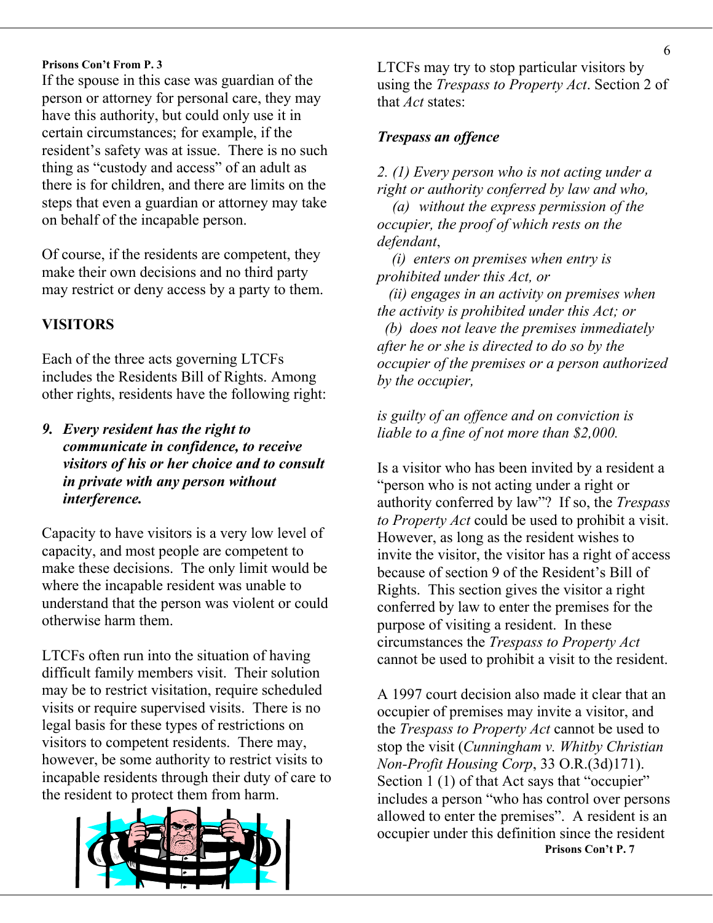### **Prisons Con't From P. 3**

If the spouse in this case was guardian of the person or attorney for personal care, they may have this authority, but could only use it in certain circumstances; for example, if the resident's safety was at issue. There is no such thing as "custody and access" of an adult as there is for children, and there are limits on the steps that even a guardian or attorney may take on behalf of the incapable person.

*defendant*,<br>Of course, if the residents are competent, they *defendant*, make their own decisions and no third party may restrict or deny access by a party to them.

Each of the three acts governing LTCFs includes the Residents Bill of Rights. Among other rights, residents have the following right:

*liable to a fine of not more than \$2,000. 9. Every resident has the right to communicate in confidence, to receive visitors of his or her choice and to consult in private with any person without interference.* 

Capacity to have visitors is a very low level of capacity, and most people are competent to make these decisions. The only limit would be where the incapable resident was unable to understand that the person was violent or could otherwise harm them.

LTCFs often run into the situation of having difficult family members visit. Their solution may be to restrict visitation, require scheduled visits or require supervised visits. There is no legal basis for these types of restrictions on visitors to competent residents. There may, however, be some authority to restrict visits to incapable residents through their duty of care to the resident to protect them from harm.



LTCFs may try to stop particular visitors by using the *Trespass to Property Act*. Section 2 of that *Act* states:

### *Trespass an offence*

*2. (1) Every person who is not acting under a right or authority conferred by law and who,*

 *(a) without the express permission of the occupier, the proof of which rests on the* 

 *(i) enters on premises when entry is prohibited under this Act, or* 

 *(ii) engages in an activity on premises when the activity is prohibited under this Act; or* 

**VISITORS** *(b) does not leave the premises immediately after he or she is directed to do so by the occupier of the premises or a person authorized by the occupier,* 

# *is guilty of an offence and on conviction is*

Is a visitor who has been invited by a resident a "person who is not acting under a right or authority conferred by law"? If so, the *Trespass to Property Act* could be used to prohibit a visit. However, as long as the resident wishes to invite the visitor, the visitor has a right of access because of section 9 of the Resident's Bill of Rights. This section gives the visitor a right conferred by law to enter the premises for the purpose of visiting a resident. In these circumstances the *Trespass to Property Act* cannot be used to prohibit a visit to the resident.

A 1997 court decision also made it clear that an occupier of premises may invite a visitor, and the *Trespass to Property Act* cannot be used to stop the visit (*Cunningham v. Whitby Christian Non-Profit Housing Corp*, 33 O.R.(3d)171). Section 1 (1) of that Act says that "occupier" includes a person "who has control over persons allowed to enter the premises". A resident is an occupier under this definition since the resident **Prisons Con't P. 7**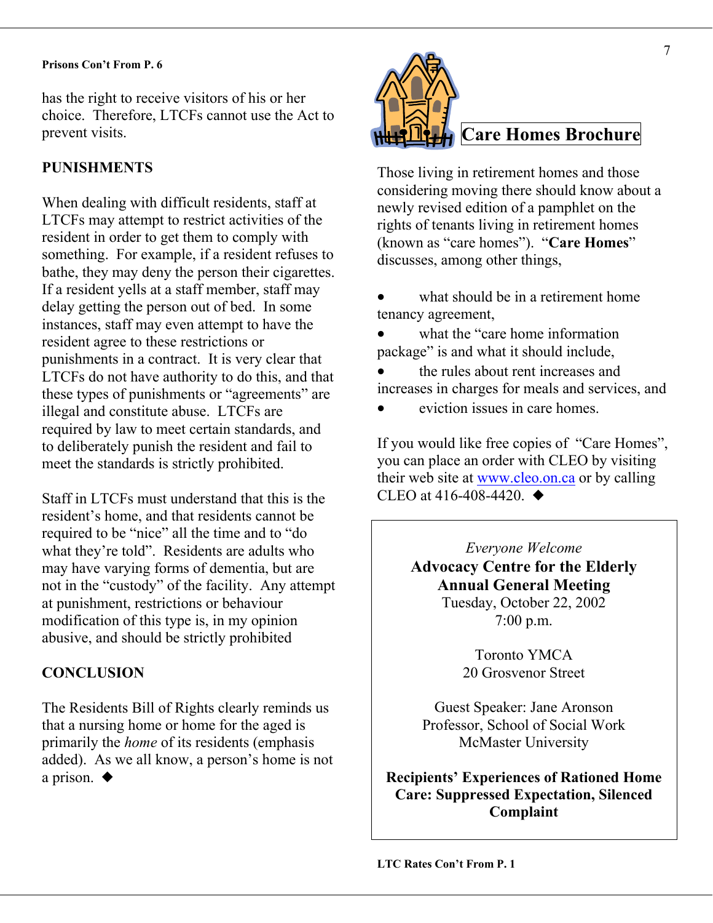### **Prisons Con't From P. 6**

has the right to receive visitors of his or her choice. Therefore, LTCFs cannot use the Act to prevent visits. **Care Homes Brochure Care Homes Brochure** 

When dealing with difficult residents, staff at LTCFs may attempt to restrict activities of the resident in order to get them to comply with something. For example, if a resident refuses to bathe, they may deny the person their cigarettes. If a resident yells at a staff member, staff may delay getting the person out of bed. In some instances, staff may even attempt to have the resident agree to these restrictions or punishments in a contract. It is very clear that LTCFs do not have authority to do this, and that these types of punishments or "agreements" are illegal and constitute abuse. LTCFs are required by law to meet certain standards, and to deliberately punish the resident and fail to meet the standards is strictly prohibited.

Staff in LTCFs must understand that this is the CLEO at 416-408-4420.  $\blacklozenge$ resident's home, and that residents cannot be required to be "nice" all the time and to "do what they're told". Residents are adults who may have varying forms of dementia, but are not in the "custody" of the facility. Any attempt **Annual General Meeting** at punishment, restrictions or behaviour modification of this type is, in my opinion abusive, and should be strictly prohibited

The Residents Bill of Rights clearly reminds us Guest Speaker: Jane Aronson that a nursing home or home for the aged is primarily the *home* of its residents (emphasis added). As we all know, a person's home is not a prison.  $\blacklozenge$ 



**PUNISHMENTS** Those living in retirement homes and those considering moving there should know about a newly revised edition of a pamphlet on the rights of tenants living in retirement homes (known as "care homes"). "**Care Homes**" discusses, among other things,

> • what should be in a retirement home tenancy agreement,

• • what the "care home information package" is and what it should include.

- the rules about rent increases and increases in charges for meals and services, and
- eviction issues in care homes.

If you would like free copies of "Care Homes", you can place an order with CLEO by visiting their web site at [www.cleo.on.ca](http://www.cleo.on.ca/) or by calling

> *Everyone Welcome*  **Advocacy Centre for the Elderly**  Tuesday, October 22, 2002 7:00 p.m.

Toronto YMCA **CONCLUSION** 20 Grosvenor Street

> Professor, School of Social Work McMaster University

**Recipients' Experiences of Rationed Home Care: Suppressed Expectation, Silenced Complaint**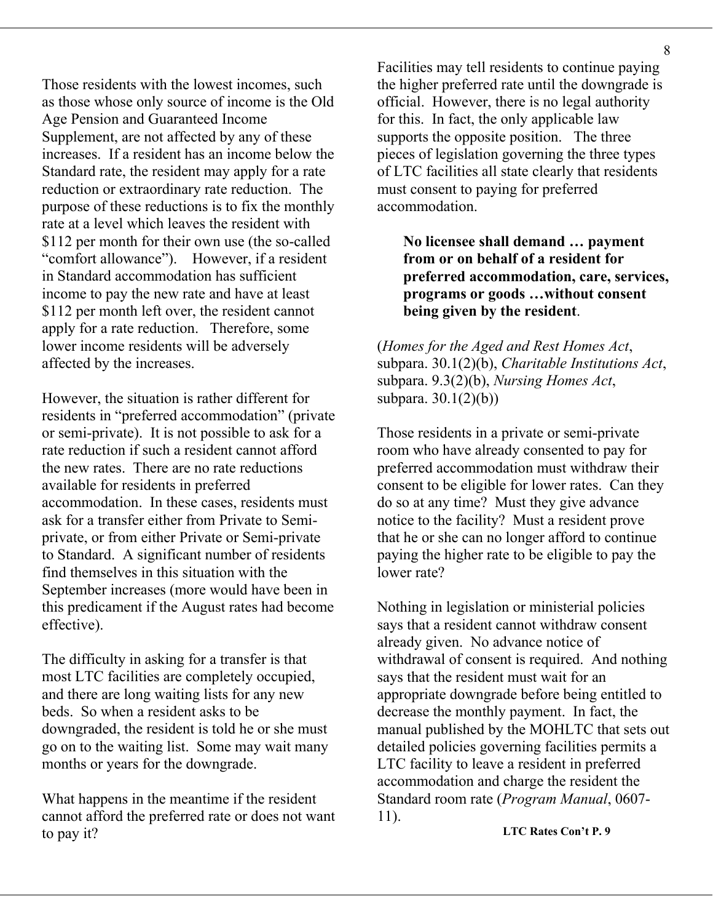Those residents with the lowest incomes, such as those whose only source of income is the Old Age Pension and Guaranteed Income Supplement, are not affected by any of these increases. If a resident has an income below the Standard rate, the resident may apply for a rate reduction or extraordinary rate reduction. The purpose of these reductions is to fix the monthly rate at a level which leaves the resident with \$112 per month for their own use (the so-called "comfort allowance"). However, if a resident in Standard accommodation has sufficient income to pay the new rate and have at least \$112 per month left over, the resident cannot apply for a rate reduction. Therefore, some lower income residents will be adversely affected by the increases.

However, the situation is rather different for residents in "preferred accommodation" (private or semi-private). It is not possible to ask for a rate reduction if such a resident cannot afford the new rates. There are no rate reductions available for residents in preferred accommodation. In these cases, residents must ask for a transfer either from Private to Semiprivate, or from either Private or Semi-private to Standard. A significant number of residents find themselves in this situation with the September increases (more would have been in this predicament if the August rates had become effective).

The difficulty in asking for a transfer is that most LTC facilities are completely occupied, and there are long waiting lists for any new beds. So when a resident asks to be downgraded, the resident is told he or she must go on to the waiting list. Some may wait many months or years for the downgrade.

What happens in the meantime if the resident cannot afford the preferred rate or does not want to pay it?

Facilities may tell residents to continue paying the higher preferred rate until the downgrade is official. However, there is no legal authority for this. In fact, the only applicable law supports the opposite position. The three pieces of legislation governing the three types of LTC facilities all state clearly that residents must consent to paying for preferred accommodation.

**No licensee shall demand … payment from or on behalf of a resident for preferred accommodation, care, services, programs or goods …without consent being given by the resident**.

(*Homes for the Aged and Rest Homes Act*, subpara. 30.1(2)(b), *Charitable Institutions Act*, subpara. 9.3(2)(b), *Nursing Homes Act*, subpara. 30.1(2)(b))

Those residents in a private or semi-private room who have already consented to pay for preferred accommodation must withdraw their consent to be eligible for lower rates. Can they do so at any time? Must they give advance notice to the facility? Must a resident prove that he or she can no longer afford to continue paying the higher rate to be eligible to pay the lower rate?

Nothing in legislation or ministerial policies says that a resident cannot withdraw consent already given. No advance notice of withdrawal of consent is required. And nothing says that the resident must wait for an appropriate downgrade before being entitled to decrease the monthly payment. In fact, the manual published by the MOHLTC that sets out detailed policies governing facilities permits a LTC facility to leave a resident in preferred accommodation and charge the resident the Standard room rate (*Program Manual*, 0607- 11).

**LTC Rates Con't P. 9**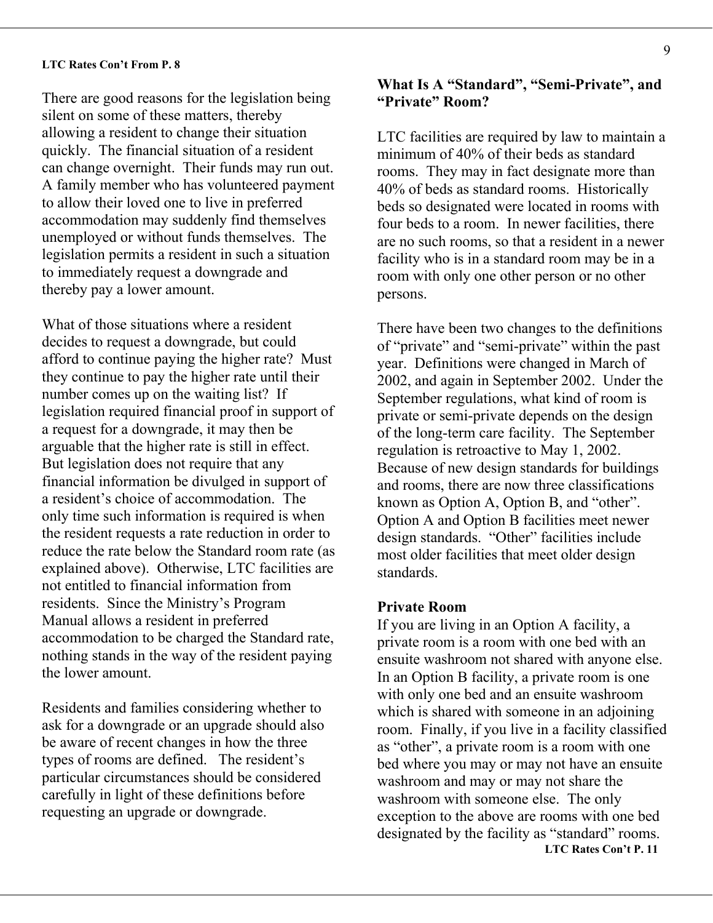### **LTC Rates Con't From P. 8**

There are good reasons for the legislation being silent on some of these matters, thereby allowing a resident to change their situation quickly. The financial situation of a resident can change overnight. Their funds may run out. A family member who has volunteered payment to allow their loved one to live in preferred accommodation may suddenly find themselves unemployed or without funds themselves. The legislation permits a resident in such a situation to immediately request a downgrade and thereby pay a lower amount.

What of those situations where a resident decides to request a downgrade, but could afford to continue paying the higher rate? Must they continue to pay the higher rate until their number comes up on the waiting list? If legislation required financial proof in support of a request for a downgrade, it may then be arguable that the higher rate is still in effect. But legislation does not require that any financial information be divulged in support of a resident's choice of accommodation. The only time such information is required is when the resident requests a rate reduction in order to reduce the rate below the Standard room rate (as explained above). Otherwise, LTC facilities are not entitled to financial information from residents. Since the Ministry's Program Manual allows a resident in preferred accommodation to be charged the Standard rate, nothing stands in the way of the resident paying the lower amount.

Residents and families considering whether to ask for a downgrade or an upgrade should also be aware of recent changes in how the three types of rooms are defined.The resident's particular circumstances should be considered carefully in light of these definitions before requesting an upgrade or downgrade.

### **What Is A "Standard", "Semi-Private", and "Private" Room?**

LTC facilities are required by law to maintain a minimum of 40% of their beds as standard rooms. They may in fact designate more than 40% of beds as standard rooms. Historically beds so designated were located in rooms with four beds to a room. In newer facilities, there are no such rooms, so that a resident in a newer facility who is in a standard room may be in a room with only one other person or no other persons.

There have been two changes to the definitions of "private" and "semi-private" within the past year. Definitions were changed in March of 2002, and again in September 2002. Under the September regulations, what kind of room is private or semi-private depends on the design of the long-term care facility. The September regulation is retroactive to May 1, 2002. Because of new design standards for buildings and rooms, there are now three classifications known as Option A, Option B, and "other". Option A and Option B facilities meet newer design standards. "Other" facilities include most older facilities that meet older design standards.

### **Private Room**

If you are living in an Option A facility, a private room is a room with one bed with an ensuite washroom not shared with anyone else. In an Option B facility, a private room is one with only one bed and an ensuite washroom which is shared with someone in an adjoining room. Finally, if you live in a facility classified as "other", a private room is a room with one bed where you may or may not have an ensuite washroom and may or may not share the washroom with someone else. The only exception to the above are rooms with one bed designated by the facility as "standard" rooms. **LTC Rates Con't P. 11**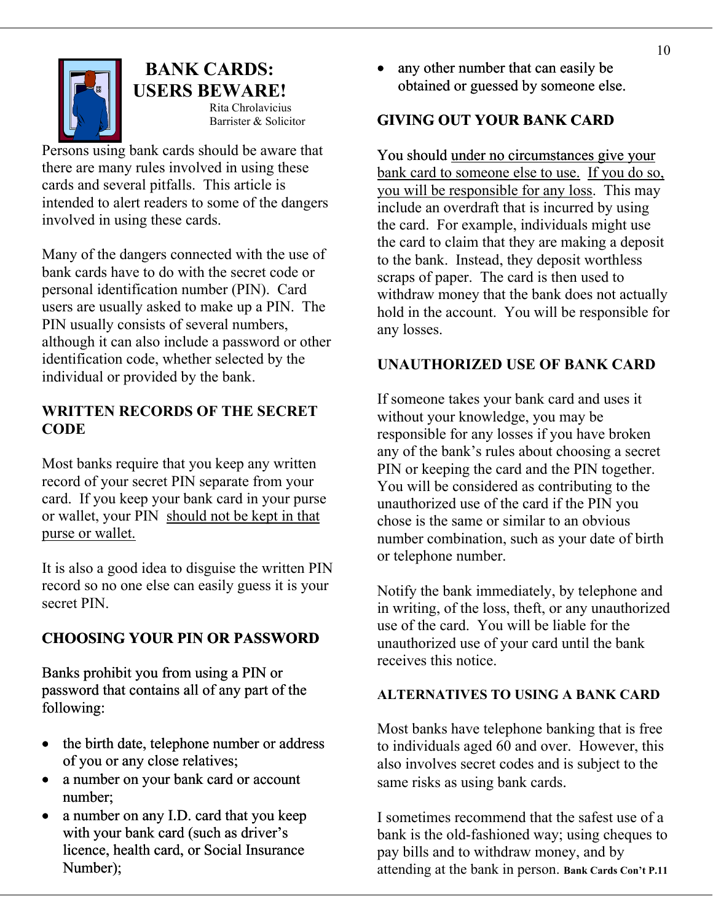

# **USERS BEWARE!**<br>Rita Chrolavicius

Persons using bank cards should be aware that there are many rules involved in using these cards and several pitfalls. This article is intended to alert readers to some of the dangers involved in using these cards.

Many of the dangers connected with the use of bank cards have to do with the secret code or personal identification number (PIN). Card users are usually asked to make up a PIN. The PIN usually consists of several numbers, although it can also include a password or other identification code, whether selected by the individual or provided by the bank.

## **WRITTEN RECORDS OF THE SECRET CODE**

Most banks require that you keep any written record of your secret PIN separate from your card. If you keep your bank card in your purse or wallet, your PIN should not be kept in that purse or wallet.

It is also a good idea to disguise the written PIN record so no one else can easily guess it is your record so no one else can easily guess it is your<br>secret PIN. For any secret PIN.

# **CHOOSING YOUR PIN OR PASSWORD**

Banks prohibit you from using a PIN or password that contains all of any part of the following:

- the birth date, telephone number or address of you or any close relatives;
- a number on your bank card or account number;
- a number on any I.D. card that you keep with your bank card (such as driver's licence, health card, or Social Insurance Number);

**BANK CARDS:** • any other number that can easily be obtained or guessed by someone else.

# Barrister & Solicitor **GIVING OUT YOUR BANK CARD**

You should under no circumstances give your bank card to someone else to use. If you do so, you will be responsible for any loss. This may include an overdraft that is incurred by using the card. For example, individuals might use the card to claim that they are making a deposit to the bank. Instead, they deposit worthless scraps of paper. The card is then used to withdraw money that the bank does not actually hold in the account. You will be responsible for any losses.

## **UNAUTHORIZED USE OF BANK CARD**

If someone takes your bank card and uses it without your knowledge, you may be responsible for any losses if you have broken any of the bank's rules about choosing a secret PIN or keeping the card and the PIN together. You will be considered as contributing to the unauthorized use of the card if the PIN you chose is the same or similar to an obvious number combination, such as your date of birth or telephone number.

in writing, of the loss, theft, or any unauthorized use of the card. You will be liable for the unauthorized use of your card until the bank receives this notice.

## **ALTERNATIVES TO USING A BANK CARD**

Most banks have telephone banking that is free to individuals aged 60 and over. However, this also involves secret codes and is subject to the same risks as using bank cards.

I sometimes recommend that the safest use of a bank is the old-fashioned way; using cheques to pay bills and to withdraw money, and by attending at the bank in person. **Bank Cards Con't P.11**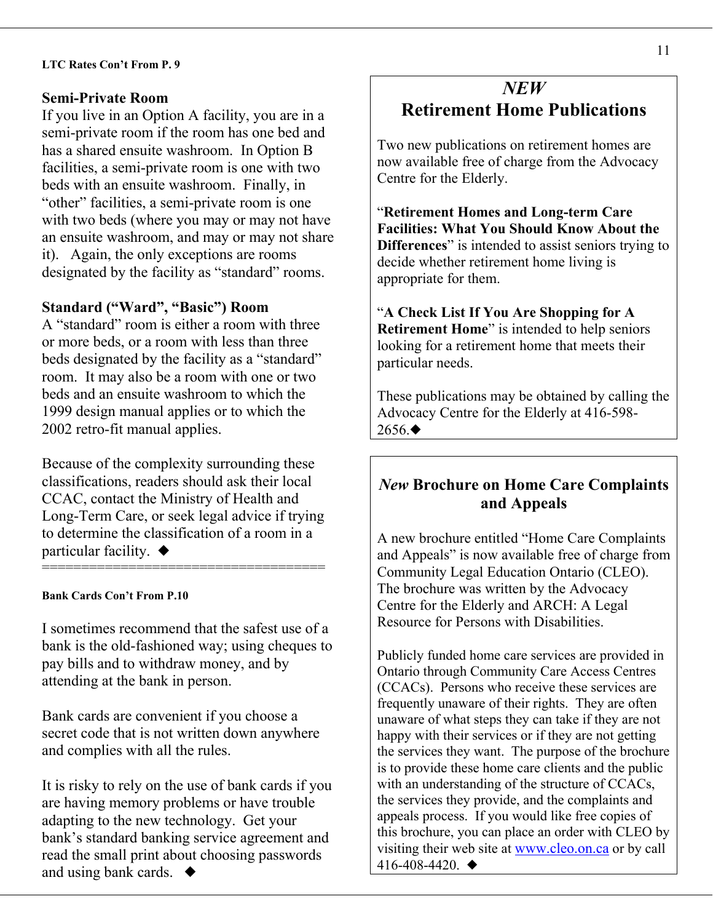### **Semi-Private Room**

If you live in an Option A facility, you are in a semi-private room if the room has one bed and has a shared ensuite washroom. In Option B facilities, a semi-private room is one with two beds with an ensuite washroom. Finally, in "other" facilities, a semi-private room is one with two beds (where you may or may not have an ensuite washroom, and may or may not share it). Again, the only exceptions are rooms designated by the facility as "standard" rooms.

### **Standard ("Ward", "Basic") Room**

A "standard" room is either a room with three or more beds, or a room with less than three beds designated by the facility as a "standard" room. It may also be a room with one or two beds and an ensuite washroom to which the 1999 design manual applies or to which the 2002 retro-fit manual applies.

Because of the complexity surrounding these classifications, readers should ask their local CCAC, contact the Ministry of Health and Long-Term Care, or seek legal advice if trying to determine the classification of a room in a particular facility.  $\blacklozenge$ 

====================================

### **Bank Cards Con't From P.10**

I sometimes recommend that the safest use of a bank is the old-fashioned way; using cheques to pay bills and to withdraw money, and by attending at the bank in person.

Bank cards are convenient if you choose a secret code that is not written down anywhere and complies with all the rules.

It is risky to rely on the use of bank cards if you are having memory problems or have trouble adapting to the new technology. Get your bank's standard banking service agreement and read the small print about choosing passwords and using bank cards.  $\blacklozenge$ 

# *NEW*  **Retirement Home Publications**

Two new publications on retirement homes are now available free of charge from the Advocacy Centre for the Elderly.

"**Retirement Homes and Long-term Care Facilities: What You Should Know About the Differences**" is intended to assist seniors trying to decide whether retirement home living is appropriate for them.

"**A Check List If You Are Shopping for A Retirement Home**" is intended to help seniors looking for a retirement home that meets their particular needs.

These publications may be obtained by calling the Advocacy Centre for the Elderly at 416-598-  $2656.$ 

## *New* **Brochure on Home Care Complaints and Appeals**

A new brochure entitled "Home Care Complaints and Appeals" is now available free of charge from Community Legal Education Ontario (CLEO). The brochure was written by the Advocacy Centre for the Elderly and ARCH: A Legal Resource for Persons with Disabilities.

Publicly funded home care services are provided in Ontario through Community Care Access Centres (CCACs). Persons who receive these services are frequently unaware of their rights. They are often unaware of what steps they can take if they are not happy with their services or if they are not getting the services they want. The purpose of the brochure is to provide these home care clients and the public with an understanding of the structure of CCACs, the services they provide, and the complaints and appeals process. If you would like free copies of this brochure, you can place an order with CLEO by visiting their web site at [www.cleo.on.ca](http://www.cleo.on.ca/) or by call 416-408-4420.  $\triangleleft$